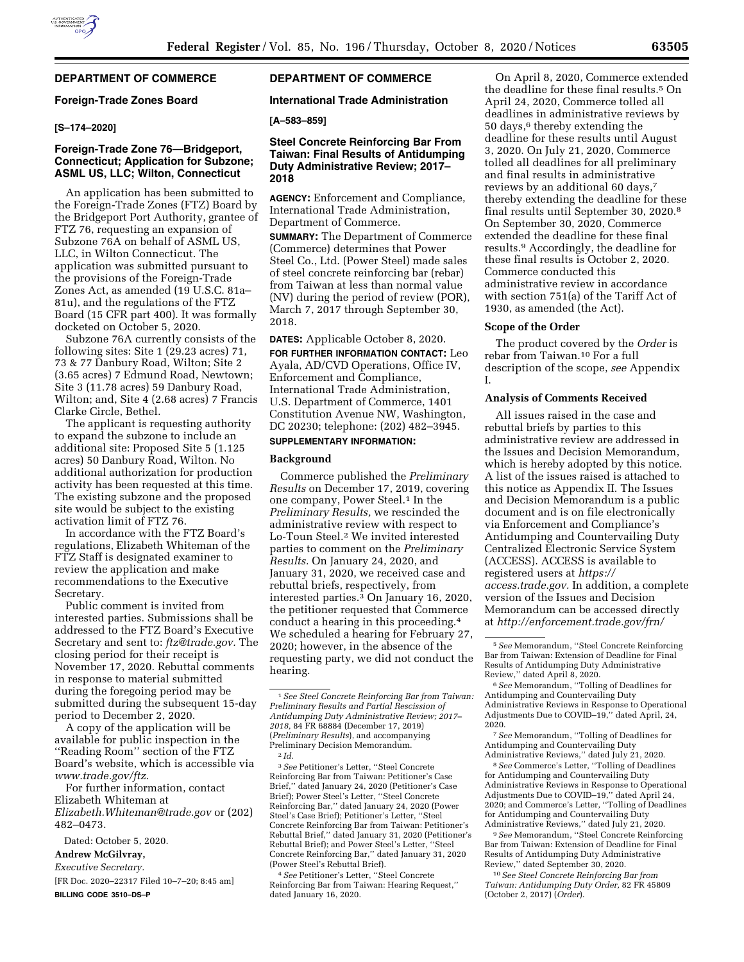# **DEPARTMENT OF COMMERCE**

## **Foreign-Trade Zones Board**

## **[S–174–2020]**

# **Foreign-Trade Zone 76—Bridgeport, Connecticut; Application for Subzone; ASML US, LLC; Wilton, Connecticut**

An application has been submitted to the Foreign-Trade Zones (FTZ) Board by the Bridgeport Port Authority, grantee of FTZ 76, requesting an expansion of Subzone 76A on behalf of ASML US, LLC, in Wilton Connecticut. The application was submitted pursuant to the provisions of the Foreign-Trade Zones Act, as amended (19 U.S.C. 81a– 81u), and the regulations of the FTZ Board (15 CFR part 400). It was formally docketed on October 5, 2020.

Subzone 76A currently consists of the following sites: Site 1 (29.23 acres) 71, 73 & 77 Danbury Road, Wilton; Site 2 (3.65 acres) 7 Edmund Road, Newtown; Site 3 (11.78 acres) 59 Danbury Road, Wilton; and, Site 4 (2.68 acres) 7 Francis Clarke Circle, Bethel.

The applicant is requesting authority to expand the subzone to include an additional site: Proposed Site 5 (1.125 acres) 50 Danbury Road, Wilton. No additional authorization for production activity has been requested at this time. The existing subzone and the proposed site would be subject to the existing activation limit of FTZ 76.

In accordance with the FTZ Board's regulations, Elizabeth Whiteman of the FTZ Staff is designated examiner to review the application and make recommendations to the Executive Secretary.

Public comment is invited from interested parties. Submissions shall be addressed to the FTZ Board's Executive Secretary and sent to: *[ftz@trade.gov.](mailto:ftz@trade.gov)* The closing period for their receipt is November 17, 2020. Rebuttal comments in response to material submitted during the foregoing period may be submitted during the subsequent 15-day period to December 2, 2020.

A copy of the application will be available for public inspection in the ''Reading Room'' section of the FTZ Board's website, which is accessible via *[www.trade.gov/ftz.](http://www.trade.gov/ftz)* 

For further information, contact Elizabeth Whiteman at *[Elizabeth.Whiteman@trade.gov](mailto:Elizabeth.Whiteman@trade.gov)* or (202) 482–0473.

Dated: October 5, 2020.

**Andrew McGilvray,** 

*Executive Secretary.* 

[FR Doc. 2020–22317 Filed 10–7–20; 8:45 am] **BILLING CODE 3510–DS–P** 

# **DEPARTMENT OF COMMERCE**

#### **International Trade Administration**

#### **[A–583–859]**

#### **Steel Concrete Reinforcing Bar From Taiwan: Final Results of Antidumping Duty Administrative Review; 2017– 2018**

**AGENCY:** Enforcement and Compliance, International Trade Administration, Department of Commerce.

**SUMMARY:** The Department of Commerce (Commerce) determines that Power Steel Co., Ltd. (Power Steel) made sales of steel concrete reinforcing bar (rebar) from Taiwan at less than normal value (NV) during the period of review (POR), March 7, 2017 through September 30, 2018.

**DATES:** Applicable October 8, 2020.

**FOR FURTHER INFORMATION CONTACT:** Leo Ayala, AD/CVD Operations, Office IV, Enforcement and Compliance, International Trade Administration, U.S. Department of Commerce, 1401 Constitution Avenue NW, Washington, DC 20230; telephone: (202) 482–3945.

#### **SUPPLEMENTARY INFORMATION:**

#### **Background**

Commerce published the *Preliminary Results* on December 17, 2019, covering one company, Power Steel.<sup>1</sup> In the *Preliminary Results,* we rescinded the administrative review with respect to Lo-Toun Steel.2 We invited interested parties to comment on the *Preliminary Results.* On January 24, 2020, and January 31, 2020, we received case and rebuttal briefs, respectively, from interested parties.3 On January 16, 2020, the petitioner requested that Commerce conduct a hearing in this proceeding.4 We scheduled a hearing for February 27, 2020; however, in the absence of the requesting party, we did not conduct the hearing.

2 *Id.* 

3*See* Petitioner's Letter, ''Steel Concrete Reinforcing Bar from Taiwan: Petitioner's Case Brief,'' dated January 24, 2020 (Petitioner's Case Brief); Power Steel's Letter, ''Steel Concrete Reinforcing Bar,'' dated January 24, 2020 (Power Steel's Case Brief); Petitioner's Letter, ''Steel Concrete Reinforcing Bar from Taiwan: Petitioner's Rebuttal Brief,'' dated January 31, 2020 (Petitioner's Rebuttal Brief); and Power Steel's Letter, ''Steel Concrete Reinforcing Bar,'' dated January 31, 2020 (Power Steel's Rebuttal Brief).

4*See* Petitioner's Letter, ''Steel Concrete Reinforcing Bar from Taiwan: Hearing Request,'' dated January 16, 2020.

On April 8, 2020, Commerce extended the deadline for these final results.5 On April 24, 2020, Commerce tolled all deadlines in administrative reviews by 50 days,6 thereby extending the deadline for these results until August 3, 2020. On July 21, 2020, Commerce tolled all deadlines for all preliminary and final results in administrative reviews by an additional 60 days,7 thereby extending the deadline for these final results until September 30, 2020.8 On September 30, 2020, Commerce extended the deadline for these final results.9 Accordingly, the deadline for these final results is October 2, 2020. Commerce conducted this administrative review in accordance with section 751(a) of the Tariff Act of 1930, as amended (the Act).

#### **Scope of the Order**

The product covered by the *Order* is rebar from Taiwan.10 For a full description of the scope, *see* Appendix I.

#### **Analysis of Comments Received**

All issues raised in the case and rebuttal briefs by parties to this administrative review are addressed in the Issues and Decision Memorandum, which is hereby adopted by this notice. A list of the issues raised is attached to this notice as Appendix II. The Issues and Decision Memorandum is a public document and is on file electronically via Enforcement and Compliance's Antidumping and Countervailing Duty Centralized Electronic Service System (ACCESS). ACCESS is available to registered users at *[https://](https://access.trade.gov) [access.trade.gov.](https://access.trade.gov)* In addition, a complete version of the Issues and Decision Memorandum can be accessed directly at *[http://enforcement.trade.gov/frn/](http://enforcement.trade.gov/frn/index.html)* 

6*See* Memorandum, ''Tolling of Deadlines for Antidumping and Countervailing Duty Administrative Reviews in Response to Operational Adjustments Due to COVID–19,'' dated April, 24, 2020.

7*See* Memorandum, ''Tolling of Deadlines for Antidumping and Countervailing Duty Administrative Reviews,'' dated July 21, 2020.

8*See* Commerce's Letter, ''Tolling of Deadlines for Antidumping and Countervailing Duty Administrative Reviews in Response to Operational Adjustments Due to COVID–19,'' dated April 24, 2020; and Commerce's Letter, ''Tolling of Deadlines for Antidumping and Countervailing Duty Administrative Reviews,'' dated July 21, 2020.

9*See* Memorandum, ''Steel Concrete Reinforcing Bar from Taiwan: Extension of Deadline for Final Results of Antidumping Duty Administrative Review,'' dated September 30, 2020.

10*See Steel Concrete Reinforcing Bar from Taiwan: Antidumping Duty Order,* 82 FR 45809 (October 2, 2017) (*Order*).

<sup>1</sup>*See Steel Concrete Reinforcing Bar from Taiwan: Preliminary Results and Partial Rescission of Antidumping Duty Administrative Review; 2017– 2018,* 84 FR 68884 (December 17, 2019) (*Preliminary Results*), and accompanying Preliminary Decision Memorandum.

<sup>5</sup>*See* Memorandum, ''Steel Concrete Reinforcing Bar from Taiwan: Extension of Deadline for Final Results of Antidumping Duty Administrative Review,'' dated April 8, 2020.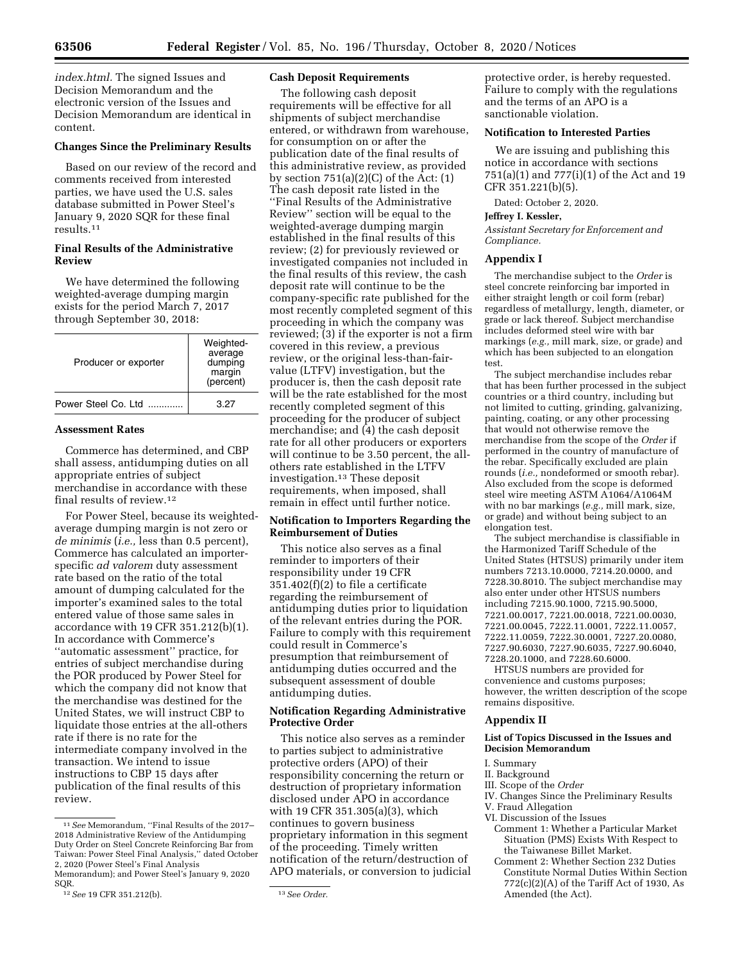*[index.html.](http://enforcement.trade.gov/frn/index.html)* The signed Issues and Decision Memorandum and the electronic version of the Issues and Decision Memorandum are identical in content.

#### **Changes Since the Preliminary Results**

Based on our review of the record and comments received from interested parties, we have used the U.S. sales database submitted in Power Steel's January 9, 2020 SQR for these final results.11

#### **Final Results of the Administrative Review**

We have determined the following weighted-average dumping margin exists for the period March 7, 2017 through September 30, 2018:

| Producer or exporter | Weighted-<br>average<br>dumping<br>margin<br>(percent) |
|----------------------|--------------------------------------------------------|
| Power Steel Co. Ltd. | 3.27                                                   |

#### **Assessment Rates**

Commerce has determined, and CBP shall assess, antidumping duties on all appropriate entries of subject merchandise in accordance with these final results of review.12

For Power Steel, because its weightedaverage dumping margin is not zero or *de minimis* (*i.e.,* less than 0.5 percent), Commerce has calculated an importerspecific *ad valorem* duty assessment rate based on the ratio of the total amount of dumping calculated for the importer's examined sales to the total entered value of those same sales in accordance with 19 CFR 351.212(b)(1). In accordance with Commerce's ''automatic assessment'' practice, for entries of subject merchandise during the POR produced by Power Steel for which the company did not know that the merchandise was destined for the United States, we will instruct CBP to liquidate those entries at the all-others rate if there is no rate for the intermediate company involved in the transaction. We intend to issue instructions to CBP 15 days after publication of the final results of this review.

#### **Cash Deposit Requirements**

The following cash deposit requirements will be effective for all shipments of subject merchandise entered, or withdrawn from warehouse, for consumption on or after the publication date of the final results of this administrative review, as provided by section  $751(a)(2)(C)$  of the Act:  $(1)$ The cash deposit rate listed in the ''Final Results of the Administrative Review'' section will be equal to the weighted-average dumping margin established in the final results of this review; (2) for previously reviewed or investigated companies not included in the final results of this review, the cash deposit rate will continue to be the company-specific rate published for the most recently completed segment of this proceeding in which the company was reviewed; (3) if the exporter is not a firm covered in this review, a previous review, or the original less-than-fairvalue (LTFV) investigation, but the producer is, then the cash deposit rate will be the rate established for the most recently completed segment of this proceeding for the producer of subject merchandise; and (4) the cash deposit rate for all other producers or exporters will continue to be 3.50 percent, the allothers rate established in the LTFV investigation.13 These deposit requirements, when imposed, shall remain in effect until further notice.

#### **Notification to Importers Regarding the Reimbursement of Duties**

This notice also serves as a final reminder to importers of their responsibility under 19 CFR 351.402(f)(2) to file a certificate regarding the reimbursement of antidumping duties prior to liquidation of the relevant entries during the POR. Failure to comply with this requirement could result in Commerce's presumption that reimbursement of antidumping duties occurred and the subsequent assessment of double antidumping duties.

#### **Notification Regarding Administrative Protective Order**

This notice also serves as a reminder to parties subject to administrative protective orders (APO) of their responsibility concerning the return or destruction of proprietary information disclosed under APO in accordance with 19 CFR 351.305(a)(3), which continues to govern business proprietary information in this segment of the proceeding. Timely written notification of the return/destruction of APO materials, or conversion to judicial

protective order, is hereby requested. Failure to comply with the regulations and the terms of an APO is a sanctionable violation.

## **Notification to Interested Parties**

We are issuing and publishing this notice in accordance with sections 751(a)(1) and 777(i)(1) of the Act and 19 CFR 351.221(b)(5).

Dated: October 2, 2020.

#### **Jeffrey I. Kessler,**

*Assistant Secretary for Enforcement and Compliance.* 

#### **Appendix I**

The merchandise subject to the *Order* is steel concrete reinforcing bar imported in either straight length or coil form (rebar) regardless of metallurgy, length, diameter, or grade or lack thereof. Subject merchandise includes deformed steel wire with bar markings (*e.g.,* mill mark, size, or grade) and which has been subjected to an elongation test.

The subject merchandise includes rebar that has been further processed in the subject countries or a third country, including but not limited to cutting, grinding, galvanizing, painting, coating, or any other processing that would not otherwise remove the merchandise from the scope of the *Order* if performed in the country of manufacture of the rebar. Specifically excluded are plain rounds (*i.e.,* nondeformed or smooth rebar). Also excluded from the scope is deformed steel wire meeting ASTM A1064/A1064M with no bar markings (*e.g.,* mill mark, size, or grade) and without being subject to an elongation test.

The subject merchandise is classifiable in the Harmonized Tariff Schedule of the United States (HTSUS) primarily under item numbers 7213.10.0000, 7214.20.0000, and 7228.30.8010. The subject merchandise may also enter under other HTSUS numbers including 7215.90.1000, 7215.90.5000, 7221.00.0017, 7221.00.0018, 7221.00.0030, 7221.00.0045, 7222.11.0001, 7222.11.0057, 7222.11.0059, 7222.30.0001, 7227.20.0080, 7227.90.6030, 7227.90.6035, 7227.90.6040, 7228.20.1000, and 7228.60.6000.

HTSUS numbers are provided for convenience and customs purposes; however, the written description of the scope remains dispositive.

#### **Appendix II**

#### **List of Topics Discussed in the Issues and Decision Memorandum**

#### I. Summary

- II. Background
- III. Scope of the *Order*
- IV. Changes Since the Preliminary Results
- V. Fraud Allegation
- VI. Discussion of the Issues
	- Comment 1: Whether a Particular Market Situation (PMS) Exists With Respect to the Taiwanese Billet Market.
	- Comment 2: Whether Section 232 Duties Constitute Normal Duties Within Section 772(c)(2)(A) of the Tariff Act of 1930, As Amended (the Act).

<sup>11</sup>*See* Memorandum, ''Final Results of the 2017– 2018 Administrative Review of the Antidumping Duty Order on Steel Concrete Reinforcing Bar from Taiwan: Power Steel Final Analysis,'' dated October 2, 2020 (Power Steel's Final Analysis

Memorandum); and Power Steel's January 9, 2020 SQR.

<sup>12</sup>*See* 19 CFR 351.212(b). 13*See Order.*